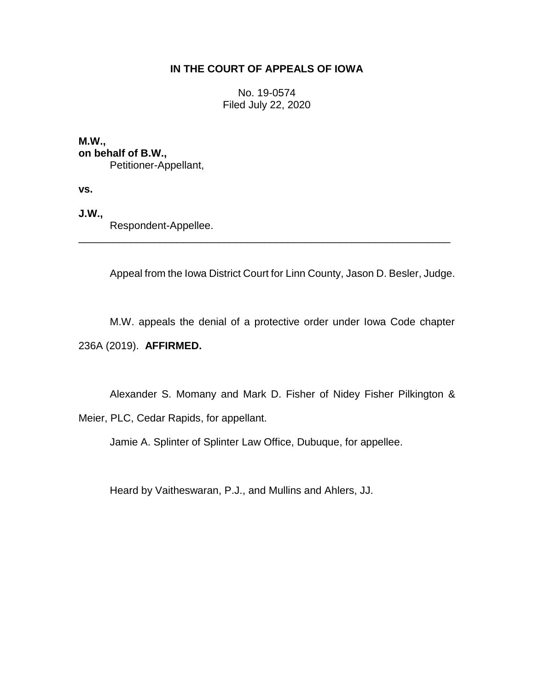# **IN THE COURT OF APPEALS OF IOWA**

No. 19-0574 Filed July 22, 2020

**M.W., on behalf of B.W.,** Petitioner-Appellant,

**vs.**

**J.W.,**

Respondent-Appellee.

Appeal from the Iowa District Court for Linn County, Jason D. Besler, Judge.

M.W. appeals the denial of a protective order under Iowa Code chapter 236A (2019). **AFFIRMED.**

\_\_\_\_\_\_\_\_\_\_\_\_\_\_\_\_\_\_\_\_\_\_\_\_\_\_\_\_\_\_\_\_\_\_\_\_\_\_\_\_\_\_\_\_\_\_\_\_\_\_\_\_\_\_\_\_\_\_\_\_\_\_\_\_

Alexander S. Momany and Mark D. Fisher of Nidey Fisher Pilkington &

Meier, PLC, Cedar Rapids, for appellant.

Jamie A. Splinter of Splinter Law Office, Dubuque, for appellee.

Heard by Vaitheswaran, P.J., and Mullins and Ahlers, JJ.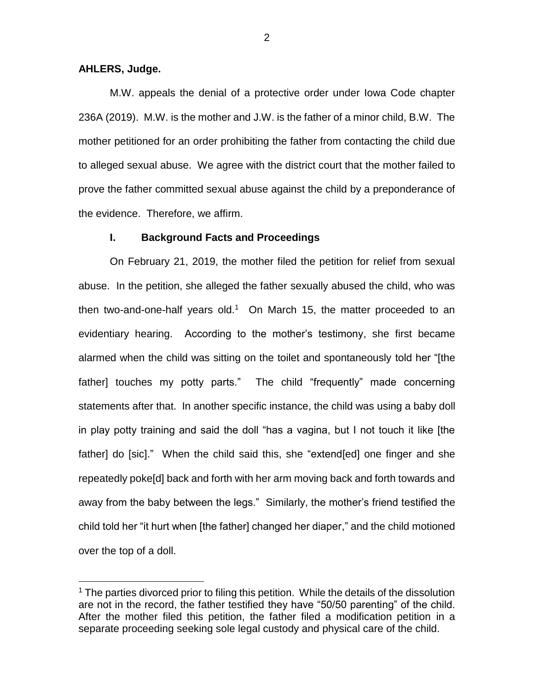#### **AHLERS, Judge.**

 $\overline{a}$ 

M.W. appeals the denial of a protective order under Iowa Code chapter 236A (2019). M.W. is the mother and J.W. is the father of a minor child, B.W. The mother petitioned for an order prohibiting the father from contacting the child due to alleged sexual abuse. We agree with the district court that the mother failed to prove the father committed sexual abuse against the child by a preponderance of the evidence. Therefore, we affirm.

#### **I. Background Facts and Proceedings**

On February 21, 2019, the mother filed the petition for relief from sexual abuse. In the petition, she alleged the father sexually abused the child, who was then two-and-one-half years old.<sup>1</sup> On March 15, the matter proceeded to an evidentiary hearing. According to the mother's testimony, she first became alarmed when the child was sitting on the toilet and spontaneously told her "[the father] touches my potty parts." The child "frequently" made concerning statements after that. In another specific instance, the child was using a baby doll in play potty training and said the doll "has a vagina, but I not touch it like [the father] do [sic]." When the child said this, she "extend[ed] one finger and she repeatedly poke[d] back and forth with her arm moving back and forth towards and away from the baby between the legs." Similarly, the mother's friend testified the child told her "it hurt when [the father] changed her diaper," and the child motioned over the top of a doll.

 $1$  The parties divorced prior to filing this petition. While the details of the dissolution are not in the record, the father testified they have "50/50 parenting" of the child. After the mother filed this petition, the father filed a modification petition in a separate proceeding seeking sole legal custody and physical care of the child.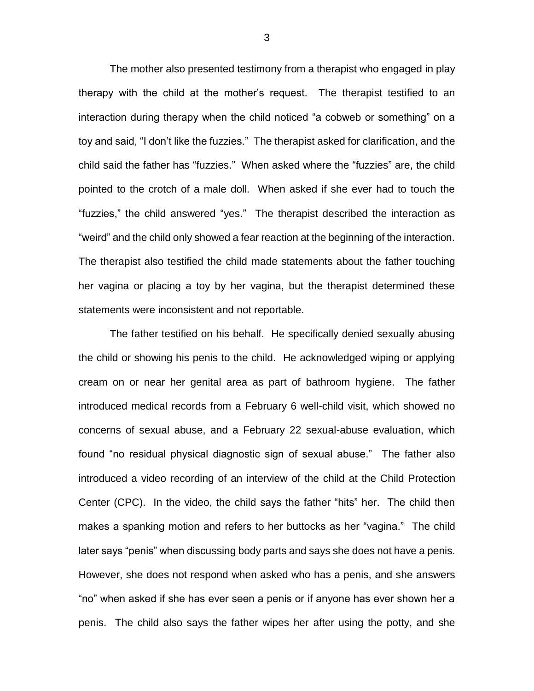The mother also presented testimony from a therapist who engaged in play therapy with the child at the mother's request. The therapist testified to an interaction during therapy when the child noticed "a cobweb or something" on a toy and said, "I don't like the fuzzies." The therapist asked for clarification, and the child said the father has "fuzzies." When asked where the "fuzzies" are, the child pointed to the crotch of a male doll. When asked if she ever had to touch the "fuzzies," the child answered "yes." The therapist described the interaction as "weird" and the child only showed a fear reaction at the beginning of the interaction. The therapist also testified the child made statements about the father touching her vagina or placing a toy by her vagina, but the therapist determined these statements were inconsistent and not reportable.

The father testified on his behalf. He specifically denied sexually abusing the child or showing his penis to the child. He acknowledged wiping or applying cream on or near her genital area as part of bathroom hygiene. The father introduced medical records from a February 6 well-child visit, which showed no concerns of sexual abuse, and a February 22 sexual-abuse evaluation, which found "no residual physical diagnostic sign of sexual abuse." The father also introduced a video recording of an interview of the child at the Child Protection Center (CPC). In the video, the child says the father "hits" her. The child then makes a spanking motion and refers to her buttocks as her "vagina." The child later says "penis" when discussing body parts and says she does not have a penis. However, she does not respond when asked who has a penis, and she answers "no" when asked if she has ever seen a penis or if anyone has ever shown her a penis. The child also says the father wipes her after using the potty, and she

3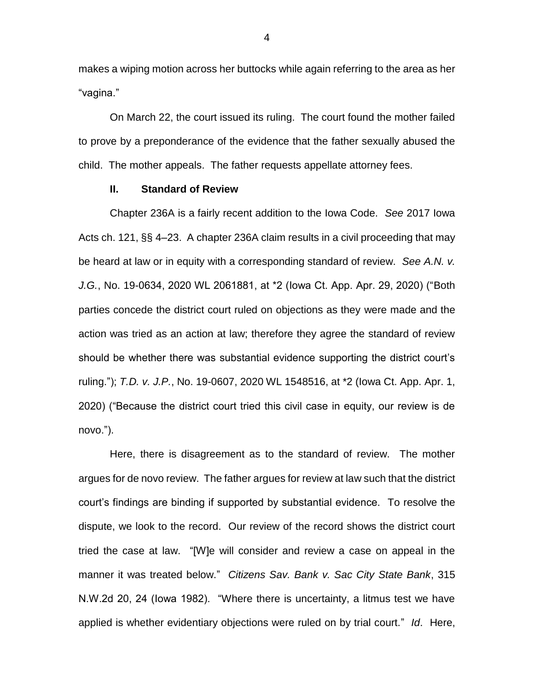makes a wiping motion across her buttocks while again referring to the area as her "vagina."

On March 22, the court issued its ruling. The court found the mother failed to prove by a preponderance of the evidence that the father sexually abused the child. The mother appeals. The father requests appellate attorney fees.

## **II. Standard of Review**

Chapter 236A is a fairly recent addition to the Iowa Code. *See* 2017 Iowa Acts ch. 121, §§ 4–23. A chapter 236A claim results in a civil proceeding that may be heard at law or in equity with a corresponding standard of review. *See A.N. v. J.G.*, No. 19-0634, 2020 WL 2061881, at \*2 (Iowa Ct. App. Apr. 29, 2020) ("Both parties concede the district court ruled on objections as they were made and the action was tried as an action at law; therefore they agree the standard of review should be whether there was substantial evidence supporting the district court's ruling."); *T.D. v. J.P.*, No. 19-0607, 2020 WL 1548516, at \*2 (Iowa Ct. App. Apr. 1, 2020) ("Because the district court tried this civil case in equity, our review is de novo.").

Here, there is disagreement as to the standard of review. The mother argues for de novo review. The father argues for review at law such that the district court's findings are binding if supported by substantial evidence. To resolve the dispute, we look to the record. Our review of the record shows the district court tried the case at law. "[W]e will consider and review a case on appeal in the manner it was treated below." *Citizens Sav. Bank v. Sac City State Bank*, 315 N.W.2d 20, 24 (Iowa 1982). "Where there is uncertainty, a litmus test we have applied is whether evidentiary objections were ruled on by trial court." *Id*. Here,

4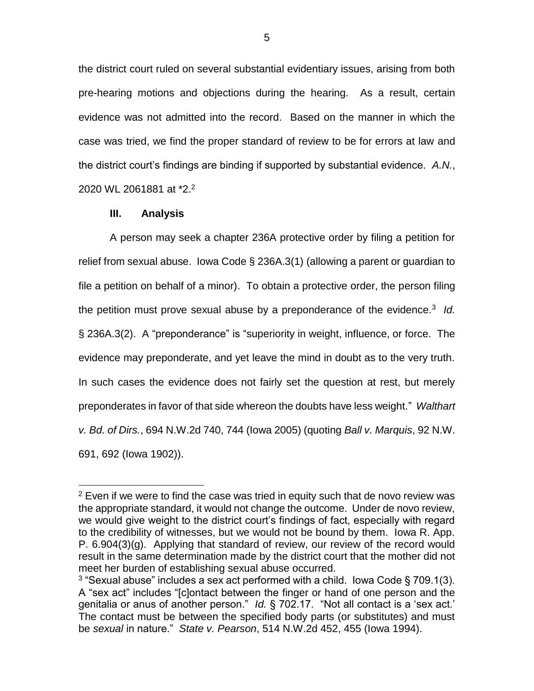the district court ruled on several substantial evidentiary issues, arising from both pre-hearing motions and objections during the hearing. As a result, certain evidence was not admitted into the record. Based on the manner in which the case was tried, we find the proper standard of review to be for errors at law and the district court's findings are binding if supported by substantial evidence. *A.N.*, 2020 WL 2061881 at \*2.<sup>2</sup>

## **III. Analysis**

 $\overline{a}$ 

A person may seek a chapter 236A protective order by filing a petition for relief from sexual abuse. Iowa Code § 236A.3(1) (allowing a parent or guardian to file a petition on behalf of a minor). To obtain a protective order, the person filing the petition must prove sexual abuse by a preponderance of the evidence.<sup>3</sup> Id. § 236A.3(2). A "preponderance" is "superiority in weight, influence, or force. The evidence may preponderate, and yet leave the mind in doubt as to the very truth. In such cases the evidence does not fairly set the question at rest, but merely preponderates in favor of that side whereon the doubts have less weight." *Walthart v. Bd. of Dirs.*, 694 N.W.2d 740, 744 (Iowa 2005) (quoting *Ball v. Marquis*, 92 N.W. 691, 692 (Iowa 1902)).

 $2$  Even if we were to find the case was tried in equity such that de novo review was the appropriate standard, it would not change the outcome. Under de novo review, we would give weight to the district court's findings of fact, especially with regard to the credibility of witnesses, but we would not be bound by them. Iowa R. App. P. 6.904(3)(g). Applying that standard of review, our review of the record would result in the same determination made by the district court that the mother did not meet her burden of establishing sexual abuse occurred.

 $3$  "Sexual abuse" includes a sex act performed with a child. Iowa Code § 709.1(3). A "sex act" includes "[c]ontact between the finger or hand of one person and the genitalia or anus of another person." *Id.* § 702.17. "Not all contact is a 'sex act.' The contact must be between the specified body parts (or substitutes) and must be *sexual* in nature." *State v. Pearson*, 514 N.W.2d 452, 455 (Iowa 1994).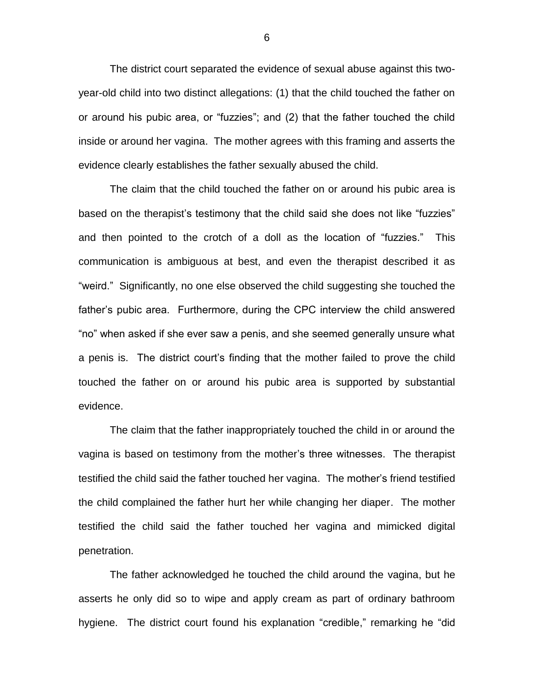The district court separated the evidence of sexual abuse against this twoyear-old child into two distinct allegations: (1) that the child touched the father on or around his pubic area, or "fuzzies"; and (2) that the father touched the child inside or around her vagina. The mother agrees with this framing and asserts the evidence clearly establishes the father sexually abused the child.

The claim that the child touched the father on or around his pubic area is based on the therapist's testimony that the child said she does not like "fuzzies" and then pointed to the crotch of a doll as the location of "fuzzies." This communication is ambiguous at best, and even the therapist described it as "weird." Significantly, no one else observed the child suggesting she touched the father's pubic area. Furthermore, during the CPC interview the child answered "no" when asked if she ever saw a penis, and she seemed generally unsure what a penis is. The district court's finding that the mother failed to prove the child touched the father on or around his pubic area is supported by substantial evidence.

The claim that the father inappropriately touched the child in or around the vagina is based on testimony from the mother's three witnesses. The therapist testified the child said the father touched her vagina. The mother's friend testified the child complained the father hurt her while changing her diaper. The mother testified the child said the father touched her vagina and mimicked digital penetration.

The father acknowledged he touched the child around the vagina, but he asserts he only did so to wipe and apply cream as part of ordinary bathroom hygiene. The district court found his explanation "credible," remarking he "did

6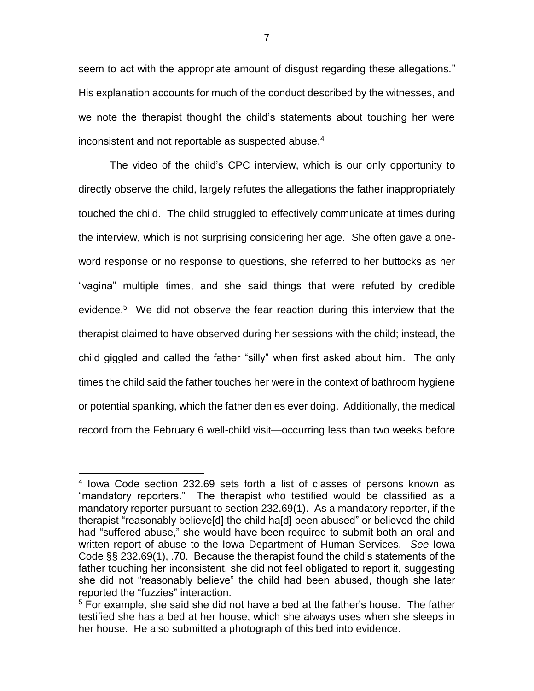seem to act with the appropriate amount of disgust regarding these allegations." His explanation accounts for much of the conduct described by the witnesses, and we note the therapist thought the child's statements about touching her were inconsistent and not reportable as suspected abuse.<sup>4</sup>

The video of the child's CPC interview, which is our only opportunity to directly observe the child, largely refutes the allegations the father inappropriately touched the child. The child struggled to effectively communicate at times during the interview, which is not surprising considering her age. She often gave a oneword response or no response to questions, she referred to her buttocks as her "vagina" multiple times, and she said things that were refuted by credible evidence. <sup>5</sup> We did not observe the fear reaction during this interview that the therapist claimed to have observed during her sessions with the child; instead, the child giggled and called the father "silly" when first asked about him. The only times the child said the father touches her were in the context of bathroom hygiene or potential spanking, which the father denies ever doing. Additionally, the medical record from the February 6 well-child visit—occurring less than two weeks before

 $\overline{a}$ 

<sup>4</sup> Iowa Code section 232.69 sets forth a list of classes of persons known as "mandatory reporters." The therapist who testified would be classified as a mandatory reporter pursuant to section 232.69(1). As a mandatory reporter, if the therapist "reasonably believe[d] the child ha[d] been abused" or believed the child had "suffered abuse," she would have been required to submit both an oral and written report of abuse to the Iowa Department of Human Services. *See* Iowa Code §§ 232.69(1), .70. Because the therapist found the child's statements of the father touching her inconsistent, she did not feel obligated to report it, suggesting she did not "reasonably believe" the child had been abused, though she later reported the "fuzzies" interaction.

 $5$  For example, she said she did not have a bed at the father's house. The father testified she has a bed at her house, which she always uses when she sleeps in her house. He also submitted a photograph of this bed into evidence.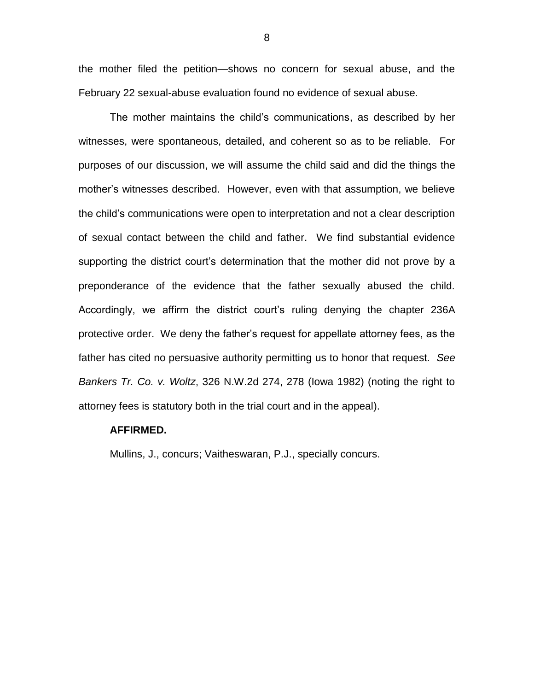the mother filed the petition—shows no concern for sexual abuse, and the February 22 sexual-abuse evaluation found no evidence of sexual abuse.

The mother maintains the child's communications, as described by her witnesses, were spontaneous, detailed, and coherent so as to be reliable. For purposes of our discussion, we will assume the child said and did the things the mother's witnesses described. However, even with that assumption, we believe the child's communications were open to interpretation and not a clear description of sexual contact between the child and father. We find substantial evidence supporting the district court's determination that the mother did not prove by a preponderance of the evidence that the father sexually abused the child. Accordingly, we affirm the district court's ruling denying the chapter 236A protective order. We deny the father's request for appellate attorney fees, as the father has cited no persuasive authority permitting us to honor that request. *See Bankers Tr. Co. v. Woltz*, 326 N.W.2d 274, 278 (Iowa 1982) (noting the right to attorney fees is statutory both in the trial court and in the appeal).

#### **AFFIRMED.**

Mullins, J., concurs; Vaitheswaran, P.J., specially concurs.